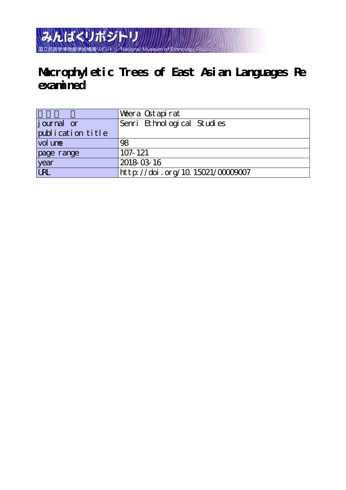みんぱくリポジトリ 国立民族学博物館学術情報リポジトリ National Museum of

# **Macrophyletic Trees of East Asian Languages Re examined**

|                   | Wera Ostapirat                  |
|-------------------|---------------------------------|
| journal or        | Senri Ethnological Studies      |
| publication title |                                 |
| vol une           | 98                              |
| page range        | $107 - 121$                     |
| year<br>URL       | 2018-03-16                      |
|                   | http://doi.org/10.15021/0000007 |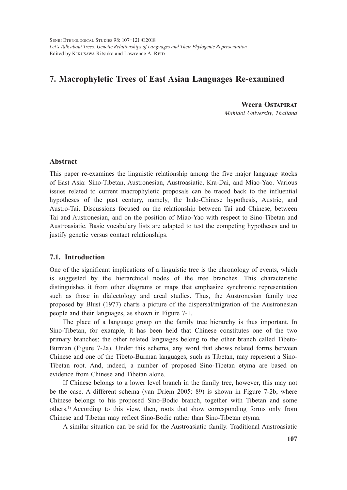SENRI ETHNOLOGICAL STUDIES 98: 107–121 ©2018 *Let's Talk about Trees: Genetic Relationships of Languages and Their Phylogenic Representation* Edited by KIKUSAWA Ritsuko and Lawrence A. REID

# **7. Macrophyletic Trees of East Asian Languages Re-examined**

**Weera Ostapirat** *Mahidol University, Thailand*

# **Abstract**

This paper re-examines the linguistic relationship among the five major language stocks of East Asia: Sino-Tibetan, Austronesian, Austroasiatic, Kra-Dai, and Miao-Yao. Various issues related to current macrophyletic proposals can be traced back to the influential hypotheses of the past century, namely, the Indo-Chinese hypothesis, Austric, and Austro-Tai. Discussions focused on the relationship between Tai and Chinese, between Tai and Austronesian, and on the position of Miao-Yao with respect to Sino-Tibetan and Austroasiatic. Basic vocabulary lists are adapted to test the competing hypotheses and to justify genetic versus contact relationships.

# **7.1. Introduction**

One of the significant implications of a linguistic tree is the chronology of events, which is suggested by the hierarchical nodes of the tree branches. This characteristic distinguishes it from other diagrams or maps that emphasize synchronic representation such as those in dialectology and areal studies. Thus, the Austronesian family tree proposed by Blust (1977) charts a picture of the dispersal/migration of the Austronesian people and their languages, as shown in Figure 7-1.

The place of a language group on the family tree hierarchy is thus important. In Sino-Tibetan, for example, it has been held that Chinese constitutes one of the two primary branches; the other related languages belong to the other branch called Tibeto-Burman (Figure 7-2a). Under this schema, any word that shows related forms between Chinese and one of the Tibeto-Burman languages, such as Tibetan, may represent a Sino-Tibetan root. And, indeed, a number of proposed Sino-Tibetan etyma are based on evidence from Chinese and Tibetan alone.

If Chinese belongs to a lower level branch in the family tree, however, this may not be the case. A different schema (van Driem 2005: 89) is shown in Figure 7-2b, where Chinese belongs to his proposed Sino-Bodic branch, together with Tibetan and some others.1) According to this view, then, roots that show corresponding forms only from Chinese and Tibetan may reflect Sino-Bodic rather than Sino-Tibetan etyma.

A similar situation can be said for the Austroasiatic family. Traditional Austroasiatic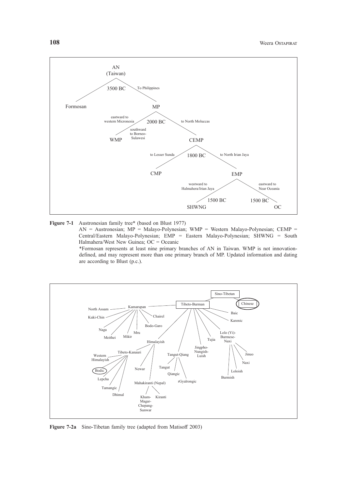



 AN = Austronesian; MP = Malayo-Polynesian; WMP = Western Malayo-Polynesian; CEMP = Central/Eastern Malayo-Polynesian; EMP = Eastern Malayo-Polynesian; SHWNG = South Halmahera/West New Guinea; OC = Oceanic

 \*Formosan represents at least nine primary branches of AN in Taiwan. WMP is not innovationdefined, and may represent more than one primary branch of MP. Updated information and dating are according to Blust (p.c.).



**Figure 7-2a** Sino-Tibetan family tree (adapted from Matisoff 2003)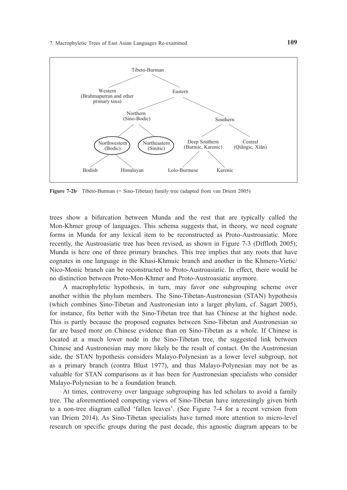

**Figure 7-2b** Tibeto-Burman (= Sino-Tibetan) family tree (adapted from van Driem 2005)

trees show a bifurcation between Munda and the rest that are typically called the Mon-Khmer group of languages. This schema suggests that, in theory, we need cognate forms in Munda for any lexical item to be reconstructed as Proto-Austroasiatic. More recently, the Austroasiatic tree has been revised, as shown in Figure 7-3 (Diffloth 2005); Munda is here one of three primary branches. This tree implies that any roots that have cognates in one language in the Khasi-Khmuic branch and another in the Khmero-Vietic/ Nico-Monic branch can be reconstructed to Proto-Austroasiatic. In effect, there would be no distinction between Proto-Mon-Khmer and Proto-Austroasiatic anymore.

A macrophyletic hypothesis, in turn, may favor one subgrouping scheme over another within the phylum members. The Sino-Tibetan-Austronesian (STAN) hypothesis (which combines Sino-Tibetan and Austronesian into a larger phylum, cf. Sagart 2005), for instance, fits better with the Sino-Tibetan tree that has Chinese at the highest node. This is partly because the proposed cognates between Sino-Tibetan and Austronesian so far are based more on Chinese evidence than on Sino-Tibetan as a whole. If Chinese is located at a much lower node in the Sino-Tibetan tree, the suggested link between Chinese and Austronesian may more likely be the result of contact. On the Austronesian side, the STAN hypothesis considers Malayo-Polynesian as a lower level subgroup, not as a primary branch (contra Blust 1977), and thus Malayo-Polynesian may not be as valuable for STAN comparisons as it has been for Austronesian specialists who consider Malayo-Polynesian to be a foundation branch.

At times, controversy over language subgrouping has led scholars to avoid a family tree. The aforementioned competing views of Sino-Tibetan have interestingly given birth to a non-tree diagram called 'fallen leaves'. (See Figure 7-4 for a recent version from van Driem 2014). As Sino-Tibetan specialists have turned more attention to micro-level research on specific groups during the past decade, this agnostic diagram appears to be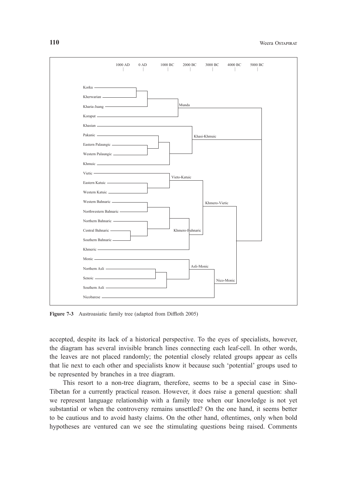

**Figure 7-3** Austroasiatic family tree (adapted from Diffloth 2005)

accepted, despite its lack of a historical perspective. To the eyes of specialists, however, the diagram has several invisible branch lines connecting each leaf-cell. In other words, the leaves are not placed randomly; the potential closely related groups appear as cells that lie next to each other and specialists know it because such 'potential' groups used to be represented by branches in a tree diagram.

This resort to a non-tree diagram, therefore, seems to be a special case in Sino-Tibetan for a currently practical reason. However, it does raise a general question: shall we represent language relationship with a family tree when our knowledge is not yet substantial or when the controversy remains unsettled? On the one hand, it seems better to be cautious and to avoid hasty claims. On the other hand, oftentimes, only when bold hypotheses are ventured can we see the stimulating questions being raised. Comments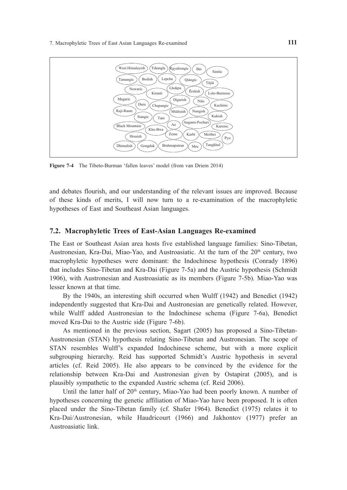

**Figure 7-4** The Tibeto-Burman 'fallen leaves' model (from van Driem 2014)

and debates flourish, and our understanding of the relevant issues are improved. Because of these kinds of merits, I will now turn to a re-examination of the macrophyletic hypotheses of East and Southeast Asian languages.

# **7.2. Macrophyletic Trees of East-Asian Languages Re-examined**

The East or Southeast Asian area hosts five established language families: Sino-Tibetan, Austronesian, Kra-Dai, Miao-Yao, and Austroasiatic. At the turn of the 20<sup>th</sup> century, two macrophyletic hypotheses were dominant: the Indochinese hypothesis (Conrady 1896) that includes Sino-Tibetan and Kra-Dai (Figure 7-5a) and the Austric hypothesis (Schmidt 1906), with Austronesian and Austroasiatic as its members (Figure 7-5b). Miao-Yao was lesser known at that time.

By the 1940s, an interesting shift occurred when Wulff (1942) and Benedict (1942) independently suggested that Kra-Dai and Austronesian are genetically related. However, while Wulff added Austronesian to the Indochinese schema (Figure 7-6a), Benedict moved Kra-Dai to the Austric side (Figure 7-6b).

As mentioned in the previous section, Sagart (2005) has proposed a Sino-Tibetan-Austronesian (STAN) hypothesis relating Sino-Tibetan and Austronesian. The scope of STAN resembles Wulff's expanded Indochinese scheme, but with a more explicit subgrouping hierarchy. Reid has supported Schmidt's Austric hypothesis in several articles (cf. Reid 2005). He also appears to be convinced by the evidence for the relationship between Kra-Dai and Austronesian given by Ostapirat (2005), and is plausibly sympathetic to the expanded Austric schema (cf. Reid 2006).

Until the latter half of  $20<sup>th</sup>$  century, Miao-Yao had been poorly known. A number of hypotheses concerning the genetic affiliation of Miao-Yao have been proposed. It is often placed under the Sino-Tibetan family (cf. Shafer 1964). Benedict (1975) relates it to Kra-Dai/Austronesian, while Haudricourt (1966) and Jakhontov (1977) prefer an Austroasiatic link.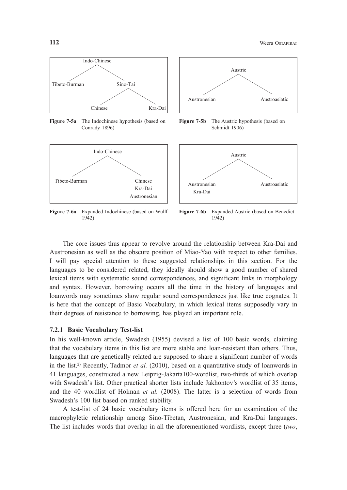

**Figure 7-5a** The Indochinese hypothesis (based on Conrady 1896)



Figure 7-6a Expanded Indochinese (based on Wulff 1942)



**Figure 7-5b** The Austric hypothesis (based on Schmidt 1906)



**Figure 7-6b** Expanded Austric (based on Benedict 1942)

The core issues thus appear to revolve around the relationship between Kra-Dai and Austronesian as well as the obscure position of Miao-Yao with respect to other families. I will pay special attention to these suggested relationships in this section. For the languages to be considered related, they ideally should show a good number of shared lexical items with systematic sound correspondences, and significant links in morphology and syntax. However, borrowing occurs all the time in the history of languages and loanwords may sometimes show regular sound correspondences just like true cognates. It is here that the concept of Basic Vocabulary, in which lexical items supposedly vary in their degrees of resistance to borrowing, has played an important role.

#### **7.2.1 Basic Vocabulary Test-list**

In his well-known article, Swadesh (1955) devised a list of 100 basic words, claiming that the vocabulary items in this list are more stable and loan-resistant than others. Thus, languages that are genetically related are supposed to share a significant number of words in the list.<sup>2)</sup> Recently, Tadmor *et al.* (2010), based on a quantitative study of loanwords in 41 languages, constructed a new Leipzig-Jakarta100-wordlist, two-thirds of which overlap with Swadesh's list. Other practical shorter lists include Jakhontov's wordlist of 35 items, and the 40 wordlist of Holman *et al.* (2008). The latter is a selection of words from Swadesh's 100 list based on ranked stability.

A test-list of 24 basic vocabulary items is offered here for an examination of the macrophyletic relationship among Sino-Tibetan, Austronesian, and Kra-Dai languages. The list includes words that overlap in all the aforementioned wordlists, except three (*two*,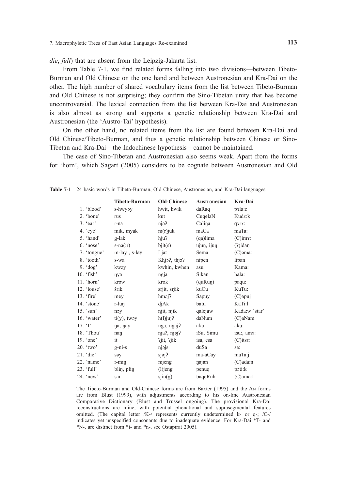*die*, *full*) that are absent from the Leipzig-Jakarta list.

From Table 7-1, we find related forms falling into two divisions—between Tibeto-Burman and Old Chinese on the one hand and between Austronesian and Kra-Dai on the other. The high number of shared vocabulary items from the list between Tibeto-Burman and Old Chinese is not surprising; they confirm the Sino-Tibetan unity that has become uncontroversial. The lexical connection from the list between Kra-Dai and Austronesian is also almost as strong and supports a genetic relationship between Kra-Dai and Austronesian (the 'Austro-Tai' hypothesis).

On the other hand, no related items from the list are found between Kra-Dai and Old Chinese/Tibeto-Burman, and thus a genetic relationship between Chinese or Sino-Tibetan and Kra-Dai—the Indochinese hypothesis—cannot be maintained.

The case of Sino-Tibetan and Austronesian also seems weak. Apart from the forms for 'horn', which Sagart (2005) considers to be cognate between Austronesian and Old

|                     | <b>Tibeto-Burman</b> | <b>Old-Chinese</b> | <b>Austronesian</b> | Kra-Dai         |
|---------------------|----------------------|--------------------|---------------------|-----------------|
| 1. 'blood'          | s-hwyəy              | hwit, hwik         | daRaq               | pxla:c          |
| 2. 'bone'           | rus                  | kut                | CuqelaN             | Kudx:k          |
| $3.$ 'ear'          | r-na                 | njə?               | Calina              | qxrx:           |
| 4. $'$ eye'         | mik, myak            | $m(r)$ juk         | maCa                | maTa:           |
| 5. 'hand'           | g-lak                | hju?               | $(qa)$ lima         | $(C)$ im $x$ :  |
| $6.$ 'nose'         | $s - na(:r)$         | $b$ jit(s)         | ujun, ijun          | $(2)$ idan      |
| 7. 'tongue'         | m-lay, s-lay         | Ljat               | Sema                | $(C)$ əma:      |
| 8. 'tooth'          | s-wa                 | Khja?, thja?       | nipen               | lipan           |
| $9.4$ dog'          | kwəy                 | kwhin, kwhen       | asu                 | Kama:           |
| $10.$ 'fish'        | nya                  | ngja               | Sikan               | bala:           |
| $11.$ 'horn'        | kraw                 | krok               | (quRun)             | paqu:           |
| 12. 'louse'         | śrik                 | srjit, srjik       | kuCu                | KuTu:           |
| 13. 'fire'          | mey                  | $h$ məj $\gamma$   | Sapuy               | (C)apuj         |
| 14. 'stone'         | r-lun                | diAk               | batu                | KaTi:l          |
| $15.$ 'sun'         | nəy                  | njit, njik         | qalejaw             | Kada:w 'star'   |
| 16. 'water'         | $ti(y)$ , tway       | $h(l)$ juj?        | daNum               | (C)aNam         |
| $17.$ T             | na, nay              | nga, ngaj?         | aku                 | aku:            |
| 18. 'Thou'          | nan                  | nja?, njoj?        | iSu, Simu           | isu:, amy:      |
| 19. $^{\circ}$ one' | it                   | ?jit, ?jik         | isa, esa            | $(C)$ its $x$ : |
| $20.$ 'two'         | $g$ -ni-s            | njojs              | duSa                | sa:             |
| $21.$ 'die'         | səy                  | sjej?              | ma-aCay             | maTa:i          |
| 22. 'name'          | $r$ - $min$          | mjeng              | najan               | $(C)$ ada:n     |
| $23.$ 'full'        | blin, plin           | $(l)$ jeng         | penuq               | poti:k          |
| $24.$ 'new'         | sar                  | $\sin(g)$          | baqeRuh             | $(C)$ ama: $1$  |

**Table 7-1** 24 basic words in Tibeto-Burman, Old Chinese, Austronesian, and Kra-Dai languages

The Tibeto-Burman and Old-Chinese forms are from Baxter (1995) and the AN forms are from Blust (1999), with adjustments according to his on-line Austronesian Comparative Dictionary (Blust and Trussel ongoing). The provisional Kra-Dai reconstructions are mine, with potential phonational and suprasegmental features omitted. (The capital letter /K-/ represents currently undetermined k- or q-; /C-/ indicates yet unspecified consonants due to inadequate evidence. For Kra-Dai \*T- and \*N-, are distinct from \*t- and \*n-, see Ostapirat 2005).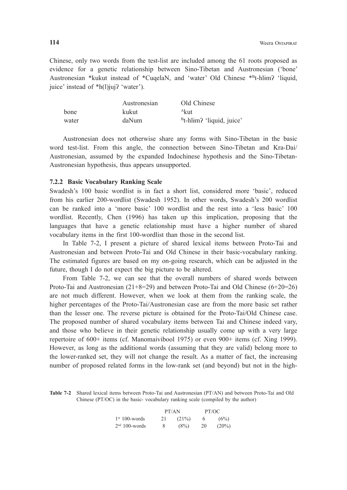Chinese, only two words from the test-list are included among the 61 roots proposed as evidence for a genetic relationship between Sino-Tibetan and Austronesian ('bone' Austronesian \*kukut instead of \*CuqelaN, and 'water' Old Chinese \*Bt-hlim? 'liquid, juice' instead of \*h(l)juj? 'water').

|       | Austronesian | Old Chinese                          |
|-------|--------------|--------------------------------------|
| bone  | kukut        | <sup>A</sup> kut                     |
| water | daNum        | <sup>B</sup> t-hlim? 'liquid, juice' |

 Austronesian does not otherwise share any forms with Sino-Tibetan in the basic word test-list. From this angle, the connection between Sino-Tibetan and Kra-Dai/ Austronesian, assumed by the expanded Indochinese hypothesis and the Sino-Tibetan-Austronesian hypothesis, thus appears unsupported.

#### **7.2.2 Basic Vocabulary Ranking Scale**

Swadesh's 100 basic wordlist is in fact a short list, considered more 'basic', reduced from his earlier 200-wordlist (Swadesh 1952). In other words, Swadesh's 200 wordlist can be ranked into a 'more basic' 100 wordlist and the rest into a 'less basic' 100 wordlist. Recently, Chen (1996) has taken up this implication, proposing that the languages that have a genetic relationship must have a higher number of shared vocabulary items in the first 100-wordlist than those in the second list.

In Table 7-2, I present a picture of shared lexical items between Proto-Tai and Austronesian and between Proto-Tai and Old Chinese in their basic-vocabulary ranking. The estimated figures are based on my on-going research, which can be adjusted in the future, though I do not expect the big picture to be altered.

From Table 7-2, we can see that the overall numbers of shared words between Proto-Tai and Austronesian  $(21+8=29)$  and between Proto-Tai and Old Chinese  $(6+20=26)$ are not much different. However, when we look at them from the ranking scale, the higher percentages of the Proto-Tai/Austronesian case are from the more basic set rather than the lesser one. The reverse picture is obtained for the Proto-Tai/Old Chinese case. The proposed number of shared vocabulary items between Tai and Chinese indeed vary, and those who believe in their genetic relationship usually come up with a very large repertoire of 600+ items (cf. Manomaivibool 1975) or even 900+ items (cf. Xing 1999). However, as long as the additional words (assuming that they are valid) belong more to the lower-ranked set, they will not change the result. As a matter of fact, the increasing number of proposed related forms in the low-rank set (and beyond) but not in the high-

**Table 7-2** Shared lexical items between Proto-Tai and Austronesian (PT/AN) and between Proto-Tai and Old Chinese (PT/OC) in the basic- vocabulary ranking scale (compiled by the author)

|                  | PT/AN |         | PT/OC |          |
|------------------|-------|---------|-------|----------|
| $1st 100$ -words | 21    | (21%)   | 6     | (6%)     |
| $2nd$ 100-words  | 8     | $(8\%)$ | 20    | $(20\%)$ |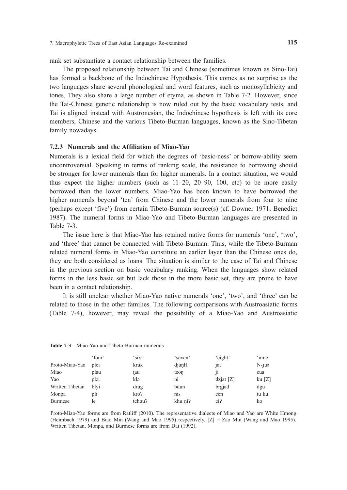rank set substantiate a contact relationship between the families.

The proposed relationship between Tai and Chinese (sometimes known as Sino-Tai) has formed a backbone of the Indochinese Hypothesis. This comes as no surprise as the two languages share several phonological and word features, such as monosyllabicity and tones. They also share a large number of etyma, as shown in Table 7-2. However, since the Tai-Chinese genetic relationship is now ruled out by the basic vocabulary tests, and Tai is aligned instead with Austronesian, the Indochinese hypothesis is left with its core members, Chinese and the various Tibeto-Burman languages, known as the Sino-Tibetan family nowadays.

#### **7.2.3 Numerals and the Affiliation of Miao-Yao**

Numerals is a lexical field for which the degrees of 'basic-ness' or borrow-ability seem uncontroversial. Speaking in terms of ranking scale, the resistance to borrowing should be stronger for lower numerals than for higher numerals. In a contact situation, we would thus expect the higher numbers (such as  $11-20$ ,  $20-90$ ,  $100$ , etc) to be more easily borrowed than the lower numbers. Miao-Yao has been known to have borrowed the higher numerals beyond 'ten' from Chinese and the lower numerals from four to nine (perhaps except 'five') from certain Tibeto-Burman source(s) (cf. Downer 1971; Benedict 1987). The numeral forms in Miao-Yao and Tibeto-Burman languages are presented in Table 7-3.

The issue here is that Miao-Yao has retained native forms for numerals 'one', 'two', and 'three' that cannot be connected with Tibeto-Burman. Thus, while the Tibeto-Burman related numeral forms in Miao-Yao constitute an earlier layer than the Chinese ones do, they are both considered as loans. The situation is similar to the case of Tai and Chinese in the previous section on basic vocabulary ranking. When the languages show related forms in the less basic set but lack those in the more basic set, they are prone to have been in a contact relationship.

It is still unclear whether Miao-Yao native numerals 'one', 'two', and 'three' can be related to those in the other families. The following comparisons with Austroasiatic forms (Table 7-4), however, may reveal the possibility of a Miao-Yao and Austroasiatic

|                 | 'four' | $\cdot$ six' | 'seven'          | 'eight'     | 'nine'            |
|-----------------|--------|--------------|------------------|-------------|-------------------|
| Proto-Miao-Yao  | plei   | kruk         | djunH            | jat         | $N$ - $\mu$ ə     |
| Miao            | plau   | †au          | teon             | <br>$_{11}$ | cua               |
| Yao             | pləi   | klə          | n <sub>1</sub>   | $dz$ [Z]    | $k\mathbf{u}$ [Z] |
| Written Tibetan | blvi   | drug         | bdun             | brgjad      | dgu               |
| Monpa           | pli    | kro?         | n <sub>1</sub> s | cen         | tu ku             |
| <b>Burmese</b>  | le     | tchau?       | khu ni?          | ci?         | ko                |

**Table 7-3** Miao-Yao and Tibeto-Burman numerals

Proto-Miao-Yao forms are from Ratliff (2010). The representative dialects of Miao and Yao are White Hmong (Heimbach 1979) and Biao Min (Wang and Mao 1995) respectively. [Z] = Zao Min (Wang and Mao 1995). Written Tibetan, Monpa, and Burmese forms are from Dai (1992).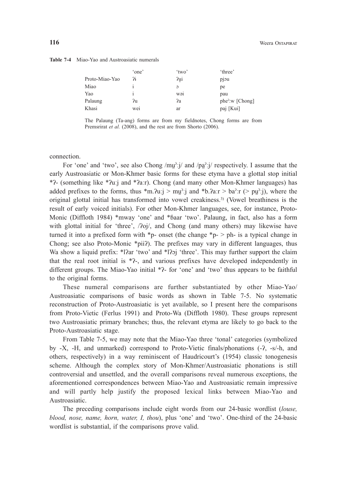|                | 'one' | 'two'           | 'three'               |
|----------------|-------|-----------------|-----------------------|
| Proto-Miao-Yao | 7i    | ?ui             | pjou                  |
| Miao           |       | $\circ$         | pe                    |
| Yao            |       | W <sub>21</sub> | pau                   |
| Palaung        | ?u    | ?a              | $phe^{2}$ : W [Chong] |
| Khasi          | wei   | ar              | paj [Kui]             |

The Palaung (Ta-ang) forms are from my fieldnotes, Chong forms are from Premsrirat *et al.* (2008), and the rest are from Shorto (2006).

connection.

For 'one' and 'two', see also Chong /mu̪ˀːj/ and /pa̪ˀːj/ respectively. I assume that the early Austroasiatic or Mon-Khmer basic forms for these etyma have a glottal stop initial \*ʔ- (something like \*ʔuːj and \*ʔaːr). Chong (and many other Mon-Khmer languages) has added prefixes to the forms, thus  $\text{*m}.\text{Qu}; j > \text{mu}$ ? j and  $\text{*b}.\text{Par} > \text{ba}$ ? : (> pu<sup>2</sup>: j), where the original glottal initial has transformed into vowel creakiness.3) (Vowel breathiness is the result of early voiced initials). For other Mon-Khmer languages, see, for instance, Proto-Monic (Diffloth 1984) \*mway 'one' and \*baar 'two'. Palaung, in fact, also has a form with glottal initial for 'three',  $/2$ oj $/$ , and Chong (and many others) may likewise have turned it into a prefixed form with  $\ast_{p}$ - onset (the change  $\ast_{p}$ - > ph- is a typical change in Chong; see also Proto-Monic \*pii?). The prefixes may vary in different languages, thus Wa show a liquid prefix: \*l?ar 'two' and \*l?oj 'three'. This may further support the claim that the real root initial is \*ʔ-, and various prefixes have developed independently in different groups. The Miao-Yao initial \*?- for 'one' and 'two' thus appears to be faithful to the original forms.

These numeral comparisons are further substantiated by other Miao-Yao/ Austroasiatic comparisons of basic words as shown in Table 7-5. No systematic reconstruction of Proto-Austroasiatic is yet available, so I present here the comparisons from Proto-Vietic (Ferlus 1991) and Proto-Wa (Diffloth 1980). These groups represent two Austroasiatic primary branches; thus, the relevant etyma are likely to go back to the Proto-Austroasiatic stage.

From Table 7-5, we may note that the Miao-Yao three 'tonal' categories (symbolized by -X, -H, and unmarked) correspond to Proto-Vietic finals/phonations (-ʔ, -s/-h, and others, respectively) in a way reminiscent of Haudricourt's (1954) classic tonogenesis scheme. Although the complex story of Mon-Khmer/Austroasiatic phonations is still controversial and unsettled, and the overall comparisons reveal numerous exceptions, the aforementioned correspondences between Miao-Yao and Austroasiatic remain impressive and will partly help justify the proposed lexical links between Miao-Yao and Austroasiatic.

The preceding comparisons include eight words from our 24-basic wordlist (*louse, blood, nose, name, horn, water, I, thou*), plus 'one' and 'two'. One-third of the 24-basic wordlist is substantial, if the comparisons prove valid.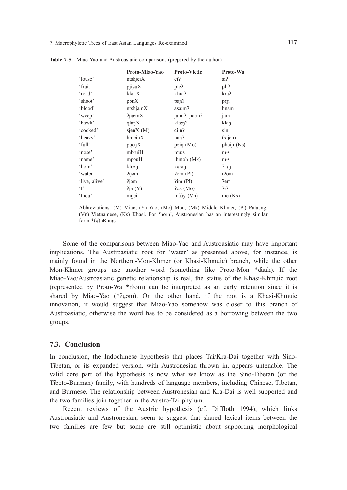|               | Proto-Miao-Yao      | <b>Proto-Vietic</b> | Proto-Wa         |
|---------------|---------------------|---------------------|------------------|
|               |                     |                     |                  |
| 'louse'       | ntshjeiX            | $ci$ ?              | si?              |
| 'fruit'       | pi                  | ple?                | pli?             |
| 'road'        | kləuX               | khra?               | kra?             |
| 'shoot'       | pgnX                | pan?                | pyp              |
| 'blood'       | ntshjamX            | asa:m?              | hnam             |
| 'weep'        | $P$ næm $X$         | ja:m?, pa:m?        | jam              |
| 'hawk'        | $q \nvert a \eta X$ | kla:n?              | klan             |
| 'cooked'      | sjenX(M)            | $c_{1:n}$ ?         | sin              |
| 'heavy'       | $h$ njein $X$       | nan <sub>2</sub>    | $(s$ -jen $)$    |
| 'full'        | purenX              | poin $(Mo)$         | phoin (Ks)       |
| 'nose'        | mbruiH              | mu:s                | $\overline{mis}$ |
| 'name'        | mpouH               | jhmoh (Mk)          | mis              |
| 'horn'        | kleon               | kərən               | ?rxn             |
| 'water'       | Puəm                | Pom(P1)             | r?om             |
| 'live, alive' | ?jəm                | $\lim$ (Pl)         | Pem              |
| $\cdot$ r     | 2ja(Y)              | 2oa (Mo)            | 212              |
| 'thou'        | muei                | $m\$ {day} $(Vn)$   | me(Ks)           |

**Table 7-5** Miao-Yao and Austroasiatic comparisons (prepared by the author)

Some of the comparisons between Miao-Yao and Austroasiatic may have important implications. The Austroasiatic root for 'water' as presented above, for instance, is mainly found in the Northern-Mon-Khmer (or Khasi-Khmuic) branch, while the other Mon-Khmer groups use another word (something like Proto-Mon \*ɗaak). If the Miao-Yao/Austroasiatic genetic relationship is real, the status of the Khasi-Khmuic root (represented by Proto-Wa \*rʔom) can be interpreted as an early retention since it is shared by Miao-Yao (\*?uəm). On the other hand, if the root is a Khasi-Khmuic innovation, it would suggest that Miao-Yao somehow was closer to this branch of Austroasiatic, otherwise the word has to be considered as a borrowing between the two groups.

#### **7.3. Conclusion**

In conclusion, the Indochinese hypothesis that places Tai/Kra-Dai together with Sino-Tibetan, or its expanded version, with Austronesian thrown in, appears untenable. The valid core part of the hypothesis is now what we know as the Sino-Tibetan (or the Tibeto-Burman) family, with hundreds of language members, including Chinese, Tibetan, and Burmese. The relationship between Austronesian and Kra-Dai is well supported and the two families join together in the Austro-Tai phylum.

Recent reviews of the Austric hypothesis (cf. Diffloth 1994), which links Austroasiatic and Austronesian, seem to suggest that shared lexical items between the two families are few but some are still optimistic about supporting morphological

Abbreviations: (M) Miao, (Y) Yao, (Mo) Mon, (Mk) Middle Khmer, (Pl) Palaung, (Vn) Vietnamese, (Ks) Khasi. For 'horn', Austronesian has an interestingly similar form \*(q)uRung.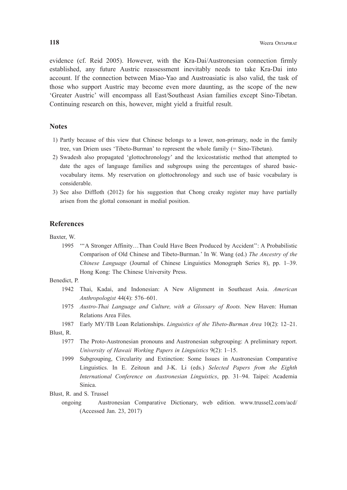evidence (cf. Reid 2005). However, with the Kra-Dai/Austronesian connection firmly established, any future Austric reassessment inevitably needs to take Kra-Dai into account. If the connection between Miao-Yao and Austroasiatic is also valid, the task of those who support Austric may become even more daunting, as the scope of the new 'Greater Austric' will encompass all East/Southeast Asian families except Sino-Tibetan. Continuing research on this, however, might yield a fruitful result.

# **Notes**

- 1) Partly because of this view that Chinese belongs to a lower, non-primary, node in the family tree, van Driem uses 'Tibeto-Burman' to represent the whole family (= Sino-Tibetan).
- 2) Swadesh also propagated 'glottochronology' and the lexicostatistic method that attempted to date the ages of language families and subgroups using the percentages of shared basicvocabulary items. My reservation on glottochronology and such use of basic vocabulary is considerable.
- 3) See also Diffloth (2012) for his suggestion that Chong creaky register may have partially arisen from the glottal consonant in medial position.

#### **References**

Baxter, W.

 1995 '''A Stronger Affinity…Than Could Have Been Produced by Accident'': A Probabilistic Comparison of Old Chinese and Tibeto-Burman.' In W. Wang (ed.) *The Ancestry of the Chinese Language* (Journal of Chinese Linguistics Monograph Series 8), pp. 1–39. Hong Kong: The Chinese University Press.

Benedict, P.

- 1942 Thai, Kadai, and Indonesian: A New Alignment in Southeast Asia. *American Anthropologist* 44(4): 576–601.
- 1975 *Austro-Thai Language and Culture, with a Glossary of Roots.* New Haven: Human Relations Area Files.
- 1987 Early MY/TB Loan Relationships. *Linguistics of the Tibeto-Burman Area* 10(2): 12–21. Blust, R.
	- 1977 The Proto-Austronesian pronouns and Austronesian subgrouping: A preliminary report. *University of Hawaii Working Papers in Linguistics* 9(2): 1–15.
	- 1999 Subgrouping, Circularity and Extinction: Some Issues in Austronesian Comparative Linguistics. In E. Zeitoun and J-K. Li (eds.) *Selected Papers from the Eighth International Conference on Austronesian Linguistics*, pp. 31–94. Taipei: Academia Sinica.
- Blust, R. and S. Trussel
	- ongoing Austronesian Comparative Dictionary, web edition. www.trussel2.com/acd/ (Accessed Jan. 23, 2017)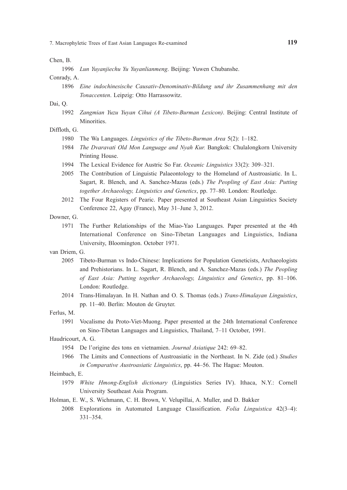Chen, B.

1996 *Lun Yuyanjiechu Yu Yuyanlianmeng*. Beijing: Yuwen Chubanshe.

Conrady, A.

 1896 *Eine indochinesische Causativ-Denominativ-Bildung und ihr Zusammenhang mit den Tonaccenten*. Leipzig: Otto Harrassowitz.

Dai, Q.

 1992 *Zangmian Yuzu Yuyan Cihui (A Tibeto-Burman Lexicon)*. Beijing: Central Institute of Minorities.

Diffloth, G.

- 1980 The Wa Languages. *Linguistics of the Tibeto-Burman Area* 5(2): 1–182.
- 1984 *The Dvaravati Old Mon Language and Nyah Kur.* Bangkok: Chulalongkorn University Printing House.
- 1994 The Lexical Evidence for Austric So Far. *Oceanic Linguistics* 33(2): 309–321.
- 2005 The Contribution of Linguistic Palaeontology to the Homeland of Austroasiatic. In L. Sagart, R. Blench, and A. Sanchez-Mazas (eds.) *The Peopling of East Asia: Putting together Archaeology, Linguistics and Genetics*, pp. 77–80. London: Routledge.
- 2012 The Four Registers of Pearic. Paper presented at Southeast Asian Linguistics Society Conference 22, Agay (France), May 31–June 3, 2012.
- Downer, G.
	- 1971 The Further Relationships of the Miao-Yao Languages. Paper presented at the 4th International Conference on Sino-Tibetan Languages and Linguistics, Indiana University, Bloomington. October 1971.
- van Driem, G.
	- 2005 Tibeto-Burman vs Indo-Chinese: Implications for Population Geneticists, Archaeologists and Prehistorians. In L. Sagart, R. Blench, and A. Sanchez-Mazas (eds.) *The Peopling of East Asia: Putting together Archaeology, Linguistics and Genetics*, pp. 81–106. London: Routledge.
	- 2014 Trans-Himalayan. In H. Nathan and O. S. Thomas (eds.) *Trans-Himalayan Linguistics*, pp. 11–40. Berlin: Mouton de Gruyter.

Ferlus, M.

 1991 Vocalisme du Proto-Viet-Muong. Paper presented at the 24th International Conference on Sino-Tibetan Languages and Linguistics, Thailand, 7–11 October, 1991.

Haudricourt, A. G.

- 1954 De l'origine des tons en vietnamien. *Journal Asiatique* 242: 69–82.
- 1966 The Limits and Connections of Austroasiatic in the Northeast. In N. Zide (ed.) *Studies in Comparative Austroasiatic Linguistics*, pp. 44–56. The Hague: Mouton.

#### Heimbach, E.

- 1979 *White Hmong-English dictionary* (Linguistics Series Ⅳ). Ithaca, N.Y.: Cornell University Southeast Asia Program.
- Holman, E. W., S. Wichmann, C. H. Brown, V. Velupillai, A. Muller, and D. Bakker
	- 2008 Explorations in Automated Language Classification. *Folia Linguistica* 42(3–4): 331–354.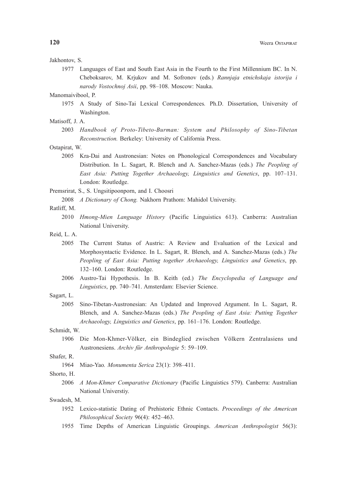#### Jakhontov, S.

 1977 Languages of East and South East Asia in the Fourth to the First Millennium BC. In N. Cheboksarov, M. Krjukov and M. Sofronov (eds.) *Rannjaja etnichskaja istorija i narody Vostochnoj Asii*, pp. 98–108. Moscow: Nauka.

Manomaivibool, P.

- 1975 A Study of Sino-Tai Lexical Correspondences*.* Ph.D. Dissertation, University of Washington.
- Matisoff, J. A.
	- 2003 *Handbook of Proto-Tibeto-Burman: System and Philosophy of Sino-Tibetan Reconstruction.* Berkeley: University of California Press.

Ostapirat, W.

 2005 Kra-Dai and Austronesian: Notes on Phonological Correspondences and Vocabulary Distribution. In L. Sagart, R. Blench and A. Sanchez-Mazas (eds.) *The Peopling of East Asia: Putting Together Archaeology, Linguistics and Genetics*, pp. 107–131. London: Routledge.

Premsrirat, S., S. Ungsitipoonporn, and I. Choosri

2008 *A Dictionary of Chong.* Nakhorn Prathom: Mahidol University.

# Ratliff, M.

- 2010 *Hmong-Mien Language History* (Pacific Linguistics 613). Canberra: Australian National University.
- Reid, L. A.
	- 2005 The Current Status of Austric: A Review and Evaluation of the Lexical and Morphosyntactic Evidence. In L. Sagart, R. Blench, and A. Sanchez-Mazas (eds.) *The Peopling of East Asia: Putting together Archaeology, Linguistics and Genetics*, pp. 132–160. London: Routledge.
	- 2006 Austro-Tai Hypothesis. In B. Keith (ed.) *The Encyclopedia of Language and Linguistics*, pp. 740–741. Amsterdam: Elsevier Science.

#### Sagart, L.

 2005 Sino-Tibetan-Austronesian: An Updated and Improved Argument. In L. Sagart, R. Blench, and A. Sanchez-Mazas (eds.) *The Peopling of East Asia: Putting Together Archaeology, Linguistics and Genetics*, pp. 161–176. London: Routledge.

Schmidt, W.

 1906 Die Mon-Khmer-Völker, ein Bindeglied zwischen Völkern Zentralasiens und Austronesiens. *Archiv für Anthropologie* 5: 59–109.

## Shafer, R.

1964 Miao-Yao*. Monumenta Serica* 23(1): 398–411.

Shorto, H.

 2006 *A Mon-Khmer Comparative Dictionary* (Pacific Linguistics 579). Canberra: Australian National Universtiy.

#### Swadesh, M.

- 1952 Lexico-statistic Dating of Prehistoric Ethnic Contacts. *Proceedings of the American Philosophical Society* 96(4): 452–463.
- 1955 Time Depths of American Linguistic Groupings. *American Anthropologist* 56(3):